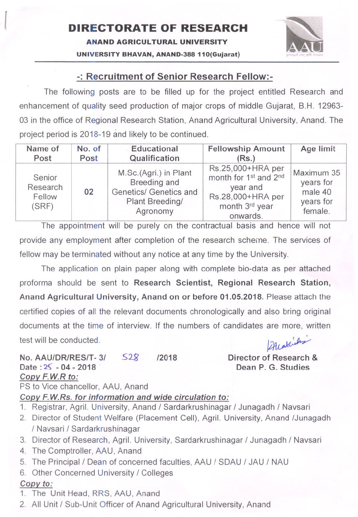## UNIVERSITY BHAVAN, ANAND-388 110(Gujarat)

## -: Recruitment of Senior Research Fellow:-

The following posts are to be filled up for the project entitled Research and enhancement of quality seed production of major crops of middle Gujarat, B.H. 12963- 03 in the office of Regional Research Station, Anand Agricultural University, Anand. The project period is 2018-19 and likely to be continued.

| Name of                               | No. of | Educational                                                                                    | <b>Fellowship Amount</b>                                                                                                          | Age limit                                                  |
|---------------------------------------|--------|------------------------------------------------------------------------------------------------|-----------------------------------------------------------------------------------------------------------------------------------|------------------------------------------------------------|
| Post                                  | Post   | Qualification                                                                                  | (Rs.)                                                                                                                             |                                                            |
| Senior<br>Research<br>Fellow<br>(SRF) | 02     | M.Sc.(Agri.) in Plant<br>Breeding and<br>Genetics/ Genetics and<br>Plant Breeding/<br>Agronomy | Rs.25,000+HRA per<br>month for 1 <sup>st</sup> and 2 <sup>nd</sup><br>year and<br>Rs.28,000+HRA per<br>month 3rd year<br>onwards. | Maximum 35<br>years for<br>male 40<br>years for<br>female. |

The appointment will be purely on the contractual basis and hence will not provide any employment after completion of the research scheme. The services of fellow may be terminated without any notice at any time by the University.

The application on plain paper along with complete bio-data as per attached proforma should be sent to Research Scientist, Regional Research Station, Anand Agricultural University, Anand on or before 01.05.2018. Please attach the certified copies of all the relevant documents chronologically and also bring original documents at the time of interview. If the numbers of candidates are more, written Alakins test will be conducted.

No. AAU/DR/RES/T-3/ 528 /2018 Date: 25 - 04 - 2018 Copy F.W.R to: PS to Vice chancellor, AAU, Anand

Director of Research & Dean P. G. Studies

Copy F.W.Rs. for information and wide circulation to:

- 1. Registrar, Agril. University, Anand / Sardarkrushinagar / Junagadh / Navsari
- 2. Director of Student Welfare (Placement Cell), Agril. University, Anand /Junagadh / Navsari / Sardarkrushinagar
- 3. Director of Research, Agril. University, Sardarkrushinagar / Junagadh / Navsari
- 4. The Comptroller, AAU, Anand
- 5. The Principal/Dean of concerned faculties, AAU / SDAU / JAU / NAU
- 6. Other Concerned University / Colleges

## Copy to:

- 1. The Unit Head, RRS, AAU, Anand
- 2. All Unit / Sub-Unit Officer of Anand Agricultural University, Anand